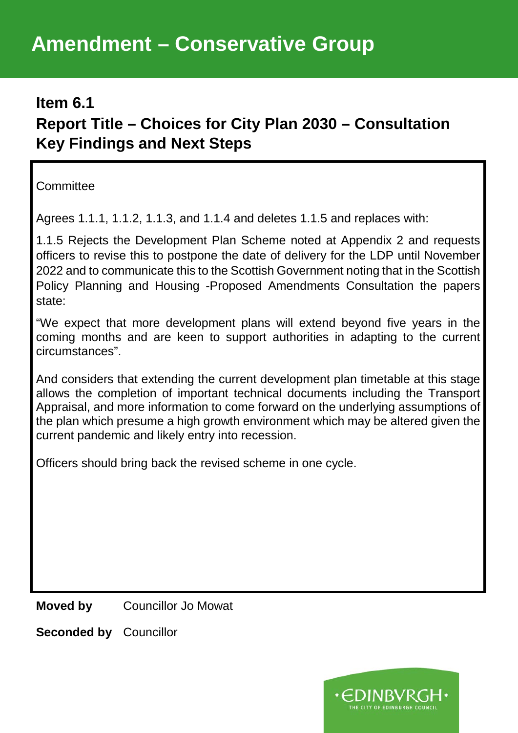## **Amendment – Conservative Group**

## **Item 6.1**

## **Report Title – Choices for City Plan 2030 – Consultation Key Findings and Next Steps**

**Committee** 

Agrees 1.1.1, 1.1.2, 1.1.3, and 1.1.4 and deletes 1.1.5 and replaces with:

1.1.5 Rejects the Development Plan Scheme noted at Appendix 2 and requests officers to revise this to postpone the date of delivery for the LDP until November 2022 and to communicate this to the Scottish Government noting that in the Scottish Policy Planning and Housing -Proposed Amendments Consultation the papers state:

"We expect that more development plans will extend beyond five years in the coming months and are keen to support authorities in adapting to the current circumstances".

And considers that extending the current development plan timetable at this stage allows the completion of important technical documents including the Transport Appraisal, and more information to come forward on the underlying assumptions of the plan which presume a high growth environment which may be altered given the current pandemic and likely entry into recession.

Officers should bring back the revised scheme in one cycle.

**Moved by** Councillor Jo Mowat

**Seconded by** Councillor